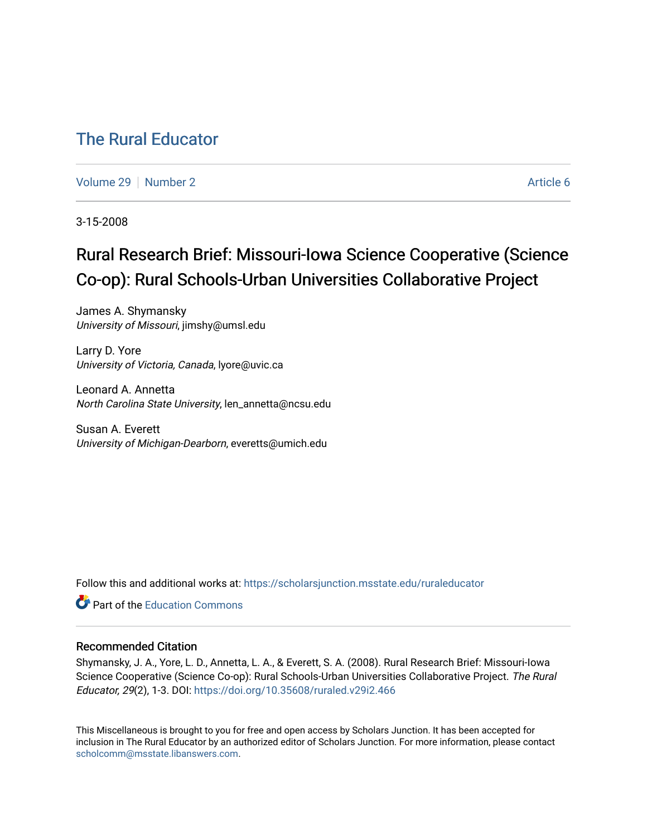# [The Rural Educator](https://scholarsjunction.msstate.edu/ruraleducator)

[Volume 29](https://scholarsjunction.msstate.edu/ruraleducator/vol29) [Number 2](https://scholarsjunction.msstate.edu/ruraleducator/vol29/iss2) Article 6

3-15-2008

# Rural Research Brief: Missouri-Iowa Science Cooperative (Science Co-op): Rural Schools-Urban Universities Collaborative Project

James A. Shymansky University of Missouri, jimshy@umsl.edu

Larry D. Yore University of Victoria, Canada, lyore@uvic.ca

Leonard A. Annetta North Carolina State University, len\_annetta@ncsu.edu

Susan A. Everett University of Michigan-Dearborn, everetts@umich.edu

Follow this and additional works at: [https://scholarsjunction.msstate.edu/ruraleducator](https://scholarsjunction.msstate.edu/ruraleducator?utm_source=scholarsjunction.msstate.edu%2Fruraleducator%2Fvol29%2Fiss2%2F6&utm_medium=PDF&utm_campaign=PDFCoverPages)

**C** Part of the [Education Commons](http://network.bepress.com/hgg/discipline/784?utm_source=scholarsjunction.msstate.edu%2Fruraleducator%2Fvol29%2Fiss2%2F6&utm_medium=PDF&utm_campaign=PDFCoverPages)

#### Recommended Citation

Shymansky, J. A., Yore, L. D., Annetta, L. A., & Everett, S. A. (2008). Rural Research Brief: Missouri-Iowa Science Cooperative (Science Co-op): Rural Schools-Urban Universities Collaborative Project. The Rural Educator, 29(2), 1-3. DOI: <https://doi.org/10.35608/ruraled.v29i2.466>

This Miscellaneous is brought to you for free and open access by Scholars Junction. It has been accepted for inclusion in The Rural Educator by an authorized editor of Scholars Junction. For more information, please contact [scholcomm@msstate.libanswers.com.](mailto:scholcomm@msstate.libanswers.com)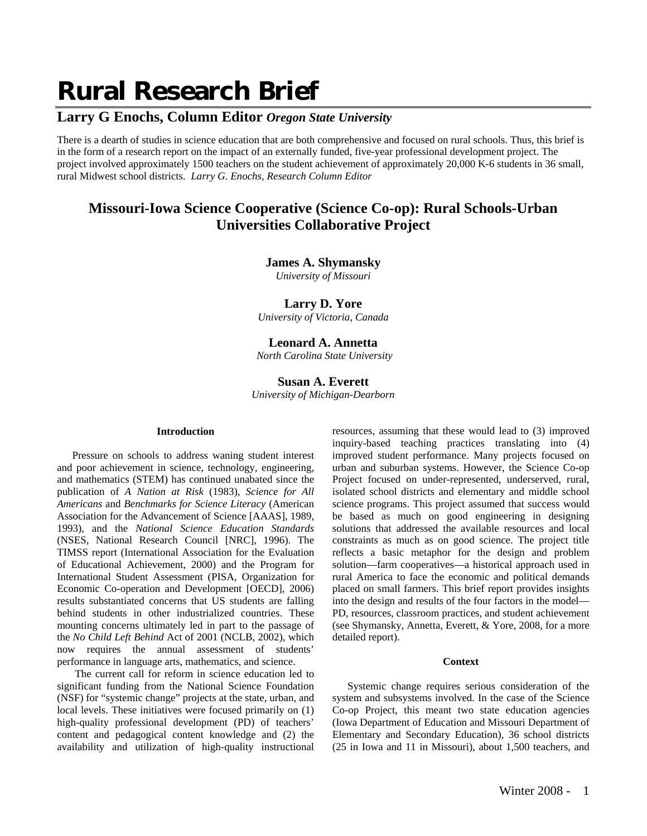# **Rural Research Brief**

## **Larry G Enochs, Column Editor** *Oregon State University*

There is a dearth of studies in science education that are both comprehensive and focused on rural schools. Thus, this brief is in the form of a research report on the impact of an externally funded, five-year professional development project. The project involved approximately 1500 teachers on the student achievement of approximately 20,000 K-6 students in 36 small, rural Midwest school districts. *Larry G. Enochs, Research Column Editor*

## **Missouri-Iowa Science Cooperative (Science Co-op): Rural Schools-Urban Universities Collaborative Project**

#### **James A. Shymansky**

*University of Missouri*

#### **Larry D. Yore**

*University of Victoria, Canada* 

## **Leonard A. Annetta**

 *North Carolina State University*

#### **Susan A. Everett**  *University of Michigan-Dearborn*

#### **Introduction**

Pressure on schools to address waning student interest and poor achievement in science, technology, engineering, and mathematics (STEM) has continued unabated since the publication of *A Nation at Risk* (1983), *Science for All Americans* and *Benchmarks for Science Literacy* (American Association for the Advancement of Science [AAAS], 1989, 1993), and the *National Science Education Standards*  (NSES, National Research Council [NRC], 1996). The TIMSS report (International Association for the Evaluation of Educational Achievement, 2000) and the Program for International Student Assessment (PISA, Organization for Economic Co-operation and Development [OECD], 2006) results substantiated concerns that US students are falling behind students in other industrialized countries. These mounting concerns ultimately led in part to the passage of the *No Child Left Behind* Act of 2001 (NCLB, 2002), which now requires the annual assessment of students' performance in language arts, mathematics, and science.

 The current call for reform in science education led to significant funding from the National Science Foundation (NSF) for "systemic change" projects at the state, urban, and local levels. These initiatives were focused primarily on  $(1)$ high-quality professional development (PD) of teachers' content and pedagogical content knowledge and (2) the availability and utilization of high-quality instructional

resources, assuming that these would lead to (3) improved inquiry-based teaching practices translating into (4) improved student performance. Many projects focused on urban and suburban systems. However, the Science Co-op Project focused on under-represented, underserved, rural, isolated school districts and elementary and middle school science programs. This project assumed that success would be based as much on good engineering in designing solutions that addressed the available resources and local constraints as much as on good science. The project title reflects a basic metaphor for the design and problem solution—farm cooperatives—a historical approach used in rural America to face the economic and political demands placed on small farmers. This brief report provides insights into the design and results of the four factors in the model— PD, resources, classroom practices, and student achievement (see Shymansky, Annetta, Everett, & Yore, 2008, for a more detailed report).

#### **Context**

Systemic change requires serious consideration of the system and subsystems involved. In the case of the Science Co-op Project, this meant two state education agencies (Iowa Department of Education and Missouri Department of Elementary and Secondary Education), 36 school districts (25 in Iowa and 11 in Missouri), about 1,500 teachers, and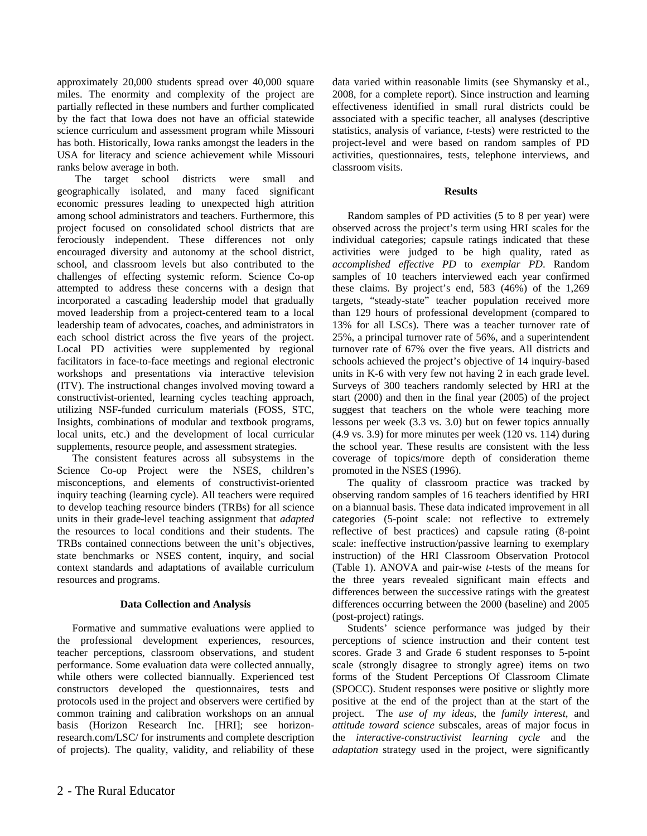approximately 20,000 students spread over 40,000 square miles. The enormity and complexity of the project are partially reflected in these numbers and further complicated by the fact that Iowa does not have an official statewide science curriculum and assessment program while Missouri has both. Historically, Iowa ranks amongst the leaders in the USA for literacy and science achievement while Missouri ranks below average in both.

 The target school districts were small and geographically isolated, and many faced significant economic pressures leading to unexpected high attrition among school administrators and teachers. Furthermore, this project focused on consolidated school districts that are ferociously independent. These differences not only encouraged diversity and autonomy at the school district, school, and classroom levels but also contributed to the challenges of effecting systemic reform. Science Co-op attempted to address these concerns with a design that incorporated a cascading leadership model that gradually moved leadership from a project-centered team to a local leadership team of advocates, coaches, and administrators in each school district across the five years of the project. Local PD activities were supplemented by regional facilitators in face-to-face meetings and regional electronic workshops and presentations via interactive television (ITV). The instructional changes involved moving toward a constructivist-oriented, learning cycles teaching approach, utilizing NSF-funded curriculum materials (FOSS, STC, Insights, combinations of modular and textbook programs, local units, etc.) and the development of local curricular supplements, resource people, and assessment strategies.

The consistent features across all subsystems in the Science Co-op Project were the NSES, children's misconceptions, and elements of constructivist-oriented inquiry teaching (learning cycle). All teachers were required to develop teaching resource binders (TRBs) for all science units in their grade-level teaching assignment that *adapted* the resources to local conditions and their students. The TRBs contained connections between the unit's objectives, state benchmarks or NSES content, inquiry, and social context standards and adaptations of available curriculum resources and programs.

#### **Data Collection and Analysis**

Formative and summative evaluations were applied to the professional development experiences, resources, teacher perceptions, classroom observations, and student performance. Some evaluation data were collected annually, while others were collected biannually. Experienced test constructors developed the questionnaires, tests and protocols used in the project and observers were certified by common training and calibration workshops on an annual basis (Horizon Research Inc. [HRI]; see horizonresearch.com/LSC/ for instruments and complete description of projects). The quality, validity, and reliability of these

data varied within reasonable limits (see Shymansky et al., 2008, for a complete report). Since instruction and learning effectiveness identified in small rural districts could be associated with a specific teacher, all analyses (descriptive statistics, analysis of variance, *t*-tests) were restricted to the project-level and were based on random samples of PD activities, questionnaires, tests, telephone interviews, and classroom visits.

#### **Results**

Random samples of PD activities (5 to 8 per year) were observed across the project's term using HRI scales for the individual categories; capsule ratings indicated that these activities were judged to be high quality, rated as *accomplished effective PD* to *exemplar PD*. Random samples of 10 teachers interviewed each year confirmed these claims. By project's end, 583 (46%) of the 1,269 targets, "steady-state" teacher population received more than 129 hours of professional development (compared to 13% for all LSCs). There was a teacher turnover rate of 25%, a principal turnover rate of 56%, and a superintendent turnover rate of 67% over the five years. All districts and schools achieved the project's objective of 14 inquiry-based units in K-6 with very few not having 2 in each grade level. Surveys of 300 teachers randomly selected by HRI at the start (2000) and then in the final year (2005) of the project suggest that teachers on the whole were teaching more lessons per week (3.3 vs. 3.0) but on fewer topics annually (4.9 vs. 3.9) for more minutes per week (120 vs. 114) during the school year. These results are consistent with the less coverage of topics/more depth of consideration theme promoted in the NSES (1996).

The quality of classroom practice was tracked by observing random samples of 16 teachers identified by HRI on a biannual basis. These data indicated improvement in all categories (5-point scale: not reflective to extremely reflective of best practices) and capsule rating (8-point scale: ineffective instruction/passive learning to exemplary instruction) of the HRI Classroom Observation Protocol (Table 1). ANOVA and pair-wise *t*-tests of the means for the three years revealed significant main effects and differences between the successive ratings with the greatest differences occurring between the 2000 (baseline) and 2005 (post-project) ratings.

Students' science performance was judged by their perceptions of science instruction and their content test scores. Grade 3 and Grade 6 student responses to 5-point scale (strongly disagree to strongly agree) items on two forms of the Student Perceptions Of Classroom Climate (SPOCC). Student responses were positive or slightly more positive at the end of the project than at the start of the project. The *use of my ideas*, the *family interest*, and *attitude toward science* subscales, areas of major focus in the *interactive-constructivist learning cycle* and the *adaptation* strategy used in the project, were significantly